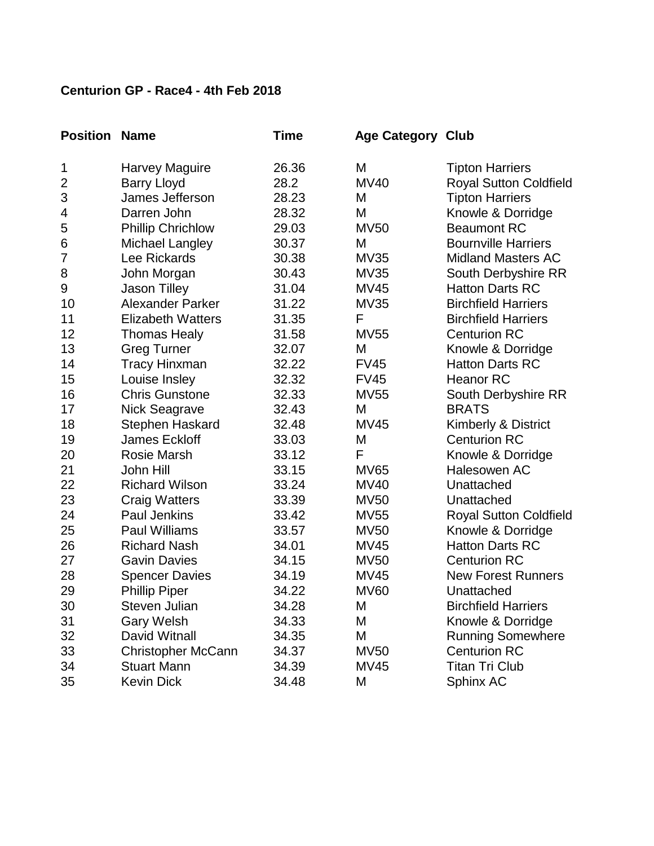| <b>Position</b> | <b>Name</b>               | Time  | <b>Age Category Club</b> |                               |
|-----------------|---------------------------|-------|--------------------------|-------------------------------|
| 1               | Harvey Maguire            | 26.36 | M                        | <b>Tipton Harriers</b>        |
| $\overline{c}$  | <b>Barry Lloyd</b>        | 28.2  | <b>MV40</b>              | Royal Sutton Coldfield        |
| 3               | James Jefferson           | 28.23 | M                        | <b>Tipton Harriers</b>        |
| 4               | Darren John               | 28.32 | M                        | Knowle & Dorridge             |
| 5               | <b>Phillip Chrichlow</b>  | 29.03 | <b>MV50</b>              | <b>Beaumont RC</b>            |
| 6               | Michael Langley           | 30.37 | M                        | <b>Bournville Harriers</b>    |
| 7               | Lee Rickards              | 30.38 | <b>MV35</b>              | <b>Midland Masters AC</b>     |
| 8               | John Morgan               | 30.43 | <b>MV35</b>              | South Derbyshire RR           |
| 9               | <b>Jason Tilley</b>       | 31.04 | MV45                     | <b>Hatton Darts RC</b>        |
| 10              | Alexander Parker          | 31.22 | <b>MV35</b>              | <b>Birchfield Harriers</b>    |
| 11              | <b>Elizabeth Watters</b>  | 31.35 | F                        | <b>Birchfield Harriers</b>    |
| 12              | <b>Thomas Healy</b>       | 31.58 | <b>MV55</b>              | <b>Centurion RC</b>           |
| 13              | <b>Greg Turner</b>        | 32.07 | M                        | Knowle & Dorridge             |
| 14              | <b>Tracy Hinxman</b>      | 32.22 | <b>FV45</b>              | <b>Hatton Darts RC</b>        |
| 15              | Louise Insley             | 32.32 | <b>FV45</b>              | <b>Heanor RC</b>              |
| 16              | <b>Chris Gunstone</b>     | 32.33 | <b>MV55</b>              | South Derbyshire RR           |
| 17              | <b>Nick Seagrave</b>      | 32.43 | M                        | <b>BRATS</b>                  |
| 18              | Stephen Haskard           | 32.48 | <b>MV45</b>              | Kimberly & District           |
| 19              | James Eckloff             | 33.03 | M                        | <b>Centurion RC</b>           |
| 20              | Rosie Marsh               | 33.12 | F                        | Knowle & Dorridge             |
| 21              | John Hill                 | 33.15 | <b>MV65</b>              | Halesowen AC                  |
| 22              | <b>Richard Wilson</b>     | 33.24 | MV40                     | Unattached                    |
| 23              | <b>Craig Watters</b>      | 33.39 | <b>MV50</b>              | Unattached                    |
| 24              | <b>Paul Jenkins</b>       | 33.42 | <b>MV55</b>              | <b>Royal Sutton Coldfield</b> |
| 25              | <b>Paul Williams</b>      | 33.57 | <b>MV50</b>              | Knowle & Dorridge             |
| 26              | <b>Richard Nash</b>       | 34.01 | <b>MV45</b>              | <b>Hatton Darts RC</b>        |
| 27              | <b>Gavin Davies</b>       | 34.15 | <b>MV50</b>              | <b>Centurion RC</b>           |
| 28              | <b>Spencer Davies</b>     | 34.19 | <b>MV45</b>              | <b>New Forest Runners</b>     |
| 29              | <b>Phillip Piper</b>      | 34.22 | <b>MV60</b>              | Unattached                    |
| 30              | Steven Julian             | 34.28 | M                        | <b>Birchfield Harriers</b>    |
| 31              | <b>Gary Welsh</b>         | 34.33 | M                        | Knowle & Dorridge             |
| 32              | David Witnall             | 34.35 | M                        | <b>Running Somewhere</b>      |
| 33              | <b>Christopher McCann</b> | 34.37 | <b>MV50</b>              | <b>Centurion RC</b>           |
| 34              | <b>Stuart Mann</b>        | 34.39 | <b>MV45</b>              | <b>Titan Tri Club</b>         |
| 35              | <b>Kevin Dick</b>         | 34.48 | М                        | Sphinx AC                     |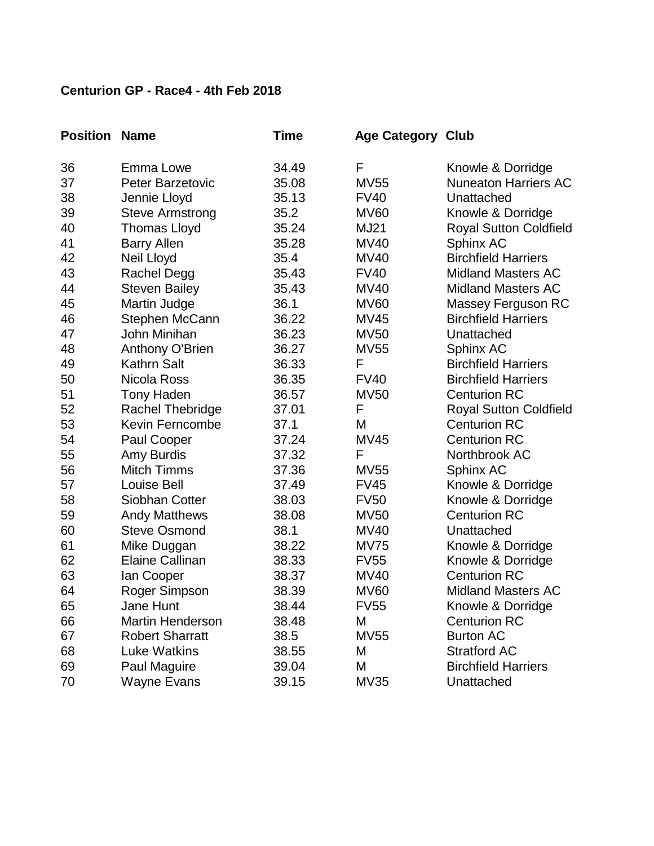| <b>Position</b> | <b>Name</b>             | Time  | <b>Age Category Club</b> |                             |
|-----------------|-------------------------|-------|--------------------------|-----------------------------|
| 36              | Emma Lowe               | 34.49 | F                        | Knowle & Dorridge           |
| 37              | Peter Barzetovic        | 35.08 | <b>MV55</b>              | <b>Nuneaton Harriers AC</b> |
| 38              | Jennie Lloyd            | 35.13 | <b>FV40</b>              | Unattached                  |
| 39              | <b>Steve Armstrong</b>  | 35.2  | <b>MV60</b>              | Knowle & Dorridge           |
| 40              | <b>Thomas Lloyd</b>     | 35.24 | MJ21                     | Royal Sutton Coldfield      |
| 41              | <b>Barry Allen</b>      | 35.28 | MV40                     | Sphinx AC                   |
| 42              | Neil Lloyd              | 35.4  | <b>MV40</b>              | <b>Birchfield Harriers</b>  |
| 43              | Rachel Degg             | 35.43 | <b>FV40</b>              | <b>Midland Masters AC</b>   |
| 44              | <b>Steven Bailey</b>    | 35.43 | MV40                     | <b>Midland Masters AC</b>   |
| 45              | Martin Judge            | 36.1  | <b>MV60</b>              | <b>Massey Ferguson RC</b>   |
| 46              | Stephen McCann          | 36.22 | MV45                     | <b>Birchfield Harriers</b>  |
| 47              | John Minihan            | 36.23 | <b>MV50</b>              | Unattached                  |
| 48              | Anthony O'Brien         | 36.27 | <b>MV55</b>              | Sphinx AC                   |
| 49              | <b>Kathrn Salt</b>      | 36.33 | F                        | <b>Birchfield Harriers</b>  |
| 50              | Nicola Ross             | 36.35 | <b>FV40</b>              | <b>Birchfield Harriers</b>  |
| 51              | <b>Tony Haden</b>       | 36.57 | <b>MV50</b>              | <b>Centurion RC</b>         |
| 52              | Rachel Thebridge        | 37.01 | F                        | Royal Sutton Coldfield      |
| 53              | Kevin Ferncombe         | 37.1  | M                        | <b>Centurion RC</b>         |
| 54              | Paul Cooper             | 37.24 | <b>MV45</b>              | <b>Centurion RC</b>         |
| 55              | Amy Burdis              | 37.32 | F                        | Northbrook AC               |
| 56              | <b>Mitch Timms</b>      | 37.36 | <b>MV55</b>              | Sphinx AC                   |
| 57              | Louise Bell             | 37.49 | <b>FV45</b>              | Knowle & Dorridge           |
| 58              | Siobhan Cotter          | 38.03 | <b>FV50</b>              | Knowle & Dorridge           |
| 59              | <b>Andy Matthews</b>    | 38.08 | <b>MV50</b>              | <b>Centurion RC</b>         |
| 60              | <b>Steve Osmond</b>     | 38.1  | <b>MV40</b>              | Unattached                  |
| 61              | Mike Duggan             | 38.22 | <b>MV75</b>              | Knowle & Dorridge           |
| 62              | Elaine Callinan         | 38.33 | <b>FV55</b>              | Knowle & Dorridge           |
| 63              | lan Cooper              | 38.37 | <b>MV40</b>              | <b>Centurion RC</b>         |
| 64              | Roger Simpson           | 38.39 | <b>MV60</b>              | <b>Midland Masters AC</b>   |
| 65              | Jane Hunt               | 38.44 | <b>FV55</b>              | Knowle & Dorridge           |
| 66              | <b>Martin Henderson</b> | 38.48 | Μ                        | <b>Centurion RC</b>         |
| 67              | <b>Robert Sharratt</b>  | 38.5  | <b>MV55</b>              | <b>Burton AC</b>            |
| 68              | <b>Luke Watkins</b>     | 38.55 | M                        | <b>Stratford AC</b>         |
| 69              | Paul Maguire            | 39.04 | M                        | <b>Birchfield Harriers</b>  |
| 70              | <b>Wayne Evans</b>      | 39.15 | <b>MV35</b>              | Unattached                  |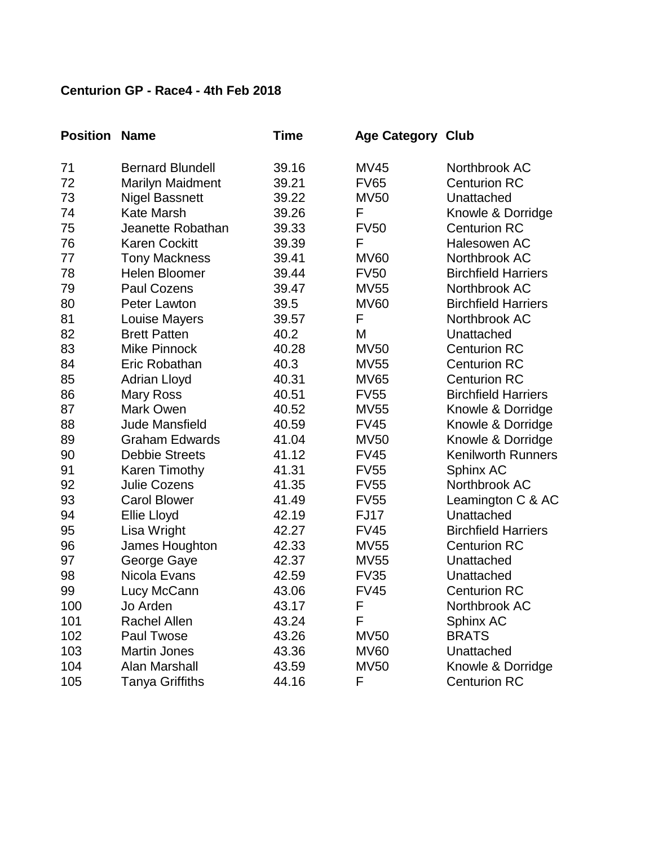| <b>Position Name</b> |                         | <b>Time</b> | <b>Age Category Club</b> |                            |
|----------------------|-------------------------|-------------|--------------------------|----------------------------|
| 71                   | <b>Bernard Blundell</b> | 39.16       | <b>MV45</b>              | Northbrook AC              |
| 72                   | Marilyn Maidment        | 39.21       | <b>FV65</b>              | <b>Centurion RC</b>        |
| 73                   | <b>Nigel Bassnett</b>   | 39.22       | <b>MV50</b>              | Unattached                 |
| 74                   | <b>Kate Marsh</b>       | 39.26       | F                        | Knowle & Dorridge          |
| 75                   | Jeanette Robathan       | 39.33       | <b>FV50</b>              | <b>Centurion RC</b>        |
| 76                   | <b>Karen Cockitt</b>    | 39.39       | F                        | Halesowen AC               |
| 77                   | <b>Tony Mackness</b>    | 39.41       | <b>MV60</b>              | Northbrook AC              |
| 78                   | Helen Bloomer           | 39.44       | <b>FV50</b>              | <b>Birchfield Harriers</b> |
| 79                   | Paul Cozens             | 39.47       | <b>MV55</b>              | Northbrook AC              |
| 80                   | Peter Lawton            | 39.5        | <b>MV60</b>              | <b>Birchfield Harriers</b> |
| 81                   | <b>Louise Mayers</b>    | 39.57       | F                        | Northbrook AC              |
| 82                   | <b>Brett Patten</b>     | 40.2        | M                        | Unattached                 |
| 83                   | Mike Pinnock            | 40.28       | <b>MV50</b>              | <b>Centurion RC</b>        |
| 84                   | Eric Robathan           | 40.3        | <b>MV55</b>              | <b>Centurion RC</b>        |
| 85                   | Adrian Lloyd            | 40.31       | <b>MV65</b>              | <b>Centurion RC</b>        |
| 86                   | <b>Mary Ross</b>        | 40.51       | <b>FV55</b>              | <b>Birchfield Harriers</b> |
| 87                   | Mark Owen               | 40.52       | <b>MV55</b>              | Knowle & Dorridge          |
| 88                   | Jude Mansfield          | 40.59       | <b>FV45</b>              | Knowle & Dorridge          |
| 89                   | <b>Graham Edwards</b>   | 41.04       | <b>MV50</b>              | Knowle & Dorridge          |
| 90                   | <b>Debbie Streets</b>   | 41.12       | <b>FV45</b>              | <b>Kenilworth Runners</b>  |
| 91                   | Karen Timothy           | 41.31       | <b>FV55</b>              | Sphinx AC                  |
| 92                   | Julie Cozens            | 41.35       | <b>FV55</b>              | Northbrook AC              |
| 93                   | <b>Carol Blower</b>     | 41.49       | <b>FV55</b>              | Leamington C & AC          |
| 94                   | Ellie Lloyd             | 42.19       | FJ17                     | Unattached                 |
| 95                   | Lisa Wright             | 42.27       | <b>FV45</b>              | <b>Birchfield Harriers</b> |
| 96                   | James Houghton          | 42.33       | <b>MV55</b>              | <b>Centurion RC</b>        |
| 97                   | George Gaye             | 42.37       | <b>MV55</b>              | Unattached                 |
| 98                   | Nicola Evans            | 42.59       | <b>FV35</b>              | Unattached                 |
| 99                   | Lucy McCann             | 43.06       | <b>FV45</b>              | <b>Centurion RC</b>        |
| 100                  | Jo Arden                | 43.17       | F.                       | Northbrook AC              |
| 101                  | Rachel Allen            | 43.24       | F                        | Sphinx AC                  |
| 102                  | Paul Twose              | 43.26       | <b>MV50</b>              | <b>BRATS</b>               |
| 103                  | <b>Martin Jones</b>     | 43.36       | <b>MV60</b>              | Unattached                 |
| 104                  | Alan Marshall           | 43.59       | <b>MV50</b>              | Knowle & Dorridge          |
| 105                  | <b>Tanya Griffiths</b>  | 44.16       | F                        | <b>Centurion RC</b>        |